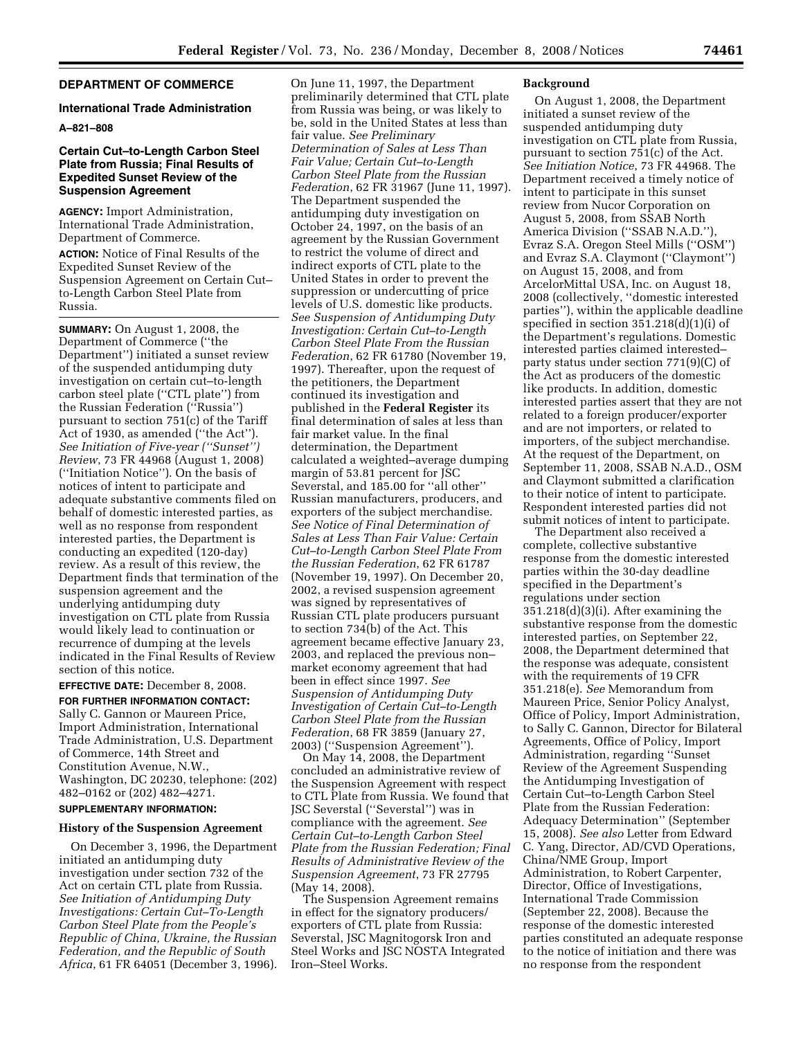# **DEPARTMENT OF COMMERCE**

#### **International Trade Administration**

## **A–821–808**

## **Certain Cut–to-Length Carbon Steel Plate from Russia; Final Results of Expedited Sunset Review of the Suspension Agreement**

**AGENCY:** Import Administration, International Trade Administration, Department of Commerce.

**ACTION:** Notice of Final Results of the Expedited Sunset Review of the Suspension Agreement on Certain Cut– to-Length Carbon Steel Plate from Russia.

**SUMMARY:** On August 1, 2008, the Department of Commerce (''the Department'') initiated a sunset review of the suspended antidumping duty investigation on certain cut–to-length carbon steel plate (''CTL plate'') from the Russian Federation (''Russia'') pursuant to section 751(c) of the Tariff Act of 1930, as amended (''the Act''). *See Initiation of Five-year (''Sunset'') Review*, 73 FR 44968 (August 1, 2008) (''Initiation Notice''). On the basis of notices of intent to participate and adequate substantive comments filed on behalf of domestic interested parties, as well as no response from respondent interested parties, the Department is conducting an expedited (120-day) review. As a result of this review, the Department finds that termination of the suspension agreement and the underlying antidumping duty investigation on CTL plate from Russia would likely lead to continuation or recurrence of dumping at the levels indicated in the Final Results of Review section of this notice.

**EFFECTIVE DATE:** December 8, 2008.

**FOR FURTHER INFORMATION CONTACT:**  Sally C. Gannon or Maureen Price, Import Administration, International Trade Administration, U.S. Department of Commerce, 14th Street and Constitution Avenue, N.W., Washington, DC 20230, telephone: (202) 482–0162 or (202) 482–4271.

# **SUPPLEMENTARY INFORMATION:**

## **History of the Suspension Agreement**

On December 3, 1996, the Department initiated an antidumping duty investigation under section 732 of the Act on certain CTL plate from Russia. *See Initiation of Antidumping Duty Investigations: Certain Cut–To-Length Carbon Steel Plate from the People's Republic of China, Ukraine, the Russian Federation, and the Republic of South Africa*, 61 FR 64051 (December 3, 1996).

On June 11, 1997, the Department preliminarily determined that CTL plate from Russia was being, or was likely to be, sold in the United States at less than fair value. *See Preliminary Determination of Sales at Less Than Fair Value; Certain Cut–to-Length Carbon Steel Plate from the Russian Federation*, 62 FR 31967 (June 11, 1997). The Department suspended the antidumping duty investigation on October 24, 1997, on the basis of an agreement by the Russian Government to restrict the volume of direct and indirect exports of CTL plate to the United States in order to prevent the suppression or undercutting of price levels of U.S. domestic like products. *See Suspension of Antidumping Duty Investigation: Certain Cut–to-Length Carbon Steel Plate From the Russian Federation*, 62 FR 61780 (November 19, 1997). Thereafter, upon the request of the petitioners, the Department continued its investigation and published in the **Federal Register** its final determination of sales at less than fair market value. In the final determination, the Department calculated a weighted–average dumping margin of 53.81 percent for JSC Severstal, and 185.00 for ''all other'' Russian manufacturers, producers, and exporters of the subject merchandise. *See Notice of Final Determination of Sales at Less Than Fair Value: Certain Cut–to-Length Carbon Steel Plate From the Russian Federation*, 62 FR 61787 (November 19, 1997). On December 20, 2002, a revised suspension agreement was signed by representatives of Russian CTL plate producers pursuant to section 734(b) of the Act. This agreement became effective January 23, 2003, and replaced the previous non– market economy agreement that had been in effect since 1997. *See Suspension of Antidumping Duty Investigation of Certain Cut–to-Length Carbon Steel Plate from the Russian Federation*, 68 FR 3859 (January 27, 2003) (''Suspension Agreement'').

On May 14, 2008, the Department concluded an administrative review of the Suspension Agreement with respect to CTL Plate from Russia. We found that JSC Severstal (''Severstal'') was in compliance with the agreement. *See Certain Cut–to-Length Carbon Steel Plate from the Russian Federation; Final Results of Administrative Review of the Suspension Agreement*, 73 FR 27795 (May 14, 2008).

The Suspension Agreement remains in effect for the signatory producers/ exporters of CTL plate from Russia: Severstal, JSC Magnitogorsk Iron and Steel Works and JSC NOSTA Integrated Iron–Steel Works.

#### **Background**

On August 1, 2008, the Department initiated a sunset review of the suspended antidumping duty investigation on CTL plate from Russia, pursuant to section 751(c) of the Act. *See Initiation Notice*, 73 FR 44968. The Department received a timely notice of intent to participate in this sunset review from Nucor Corporation on August 5, 2008, from SSAB North America Division ("SSAB N.A.D."), Evraz S.A. Oregon Steel Mills (''OSM'') and Evraz S.A. Claymont (''Claymont'') on August 15, 2008, and from ArcelorMittal USA, Inc. on August 18, 2008 (collectively, ''domestic interested parties''), within the applicable deadline specified in section 351.218(d)(1)(i) of the Department's regulations. Domestic interested parties claimed interested– party status under section 771(9)(C) of the Act as producers of the domestic like products. In addition, domestic interested parties assert that they are not related to a foreign producer/exporter and are not importers, or related to importers, of the subject merchandise. At the request of the Department, on September 11, 2008, SSAB N.A.D., OSM and Claymont submitted a clarification to their notice of intent to participate. Respondent interested parties did not submit notices of intent to participate.

The Department also received a complete, collective substantive response from the domestic interested parties within the 30-day deadline specified in the Department's regulations under section 351.218(d)(3)(i). After examining the substantive response from the domestic interested parties, on September 22, 2008, the Department determined that the response was adequate, consistent with the requirements of 19 CFR 351.218(e). *See* Memorandum from Maureen Price, Senior Policy Analyst, Office of Policy, Import Administration, to Sally C. Gannon, Director for Bilateral Agreements, Office of Policy, Import Administration, regarding ''Sunset Review of the Agreement Suspending the Antidumping Investigation of Certain Cut–to-Length Carbon Steel Plate from the Russian Federation: Adequacy Determination'' (September 15, 2008). *See also* Letter from Edward C. Yang, Director, AD/CVD Operations, China/NME Group, Import Administration, to Robert Carpenter, Director, Office of Investigations, International Trade Commission (September 22, 2008). Because the response of the domestic interested parties constituted an adequate response to the notice of initiation and there was no response from the respondent